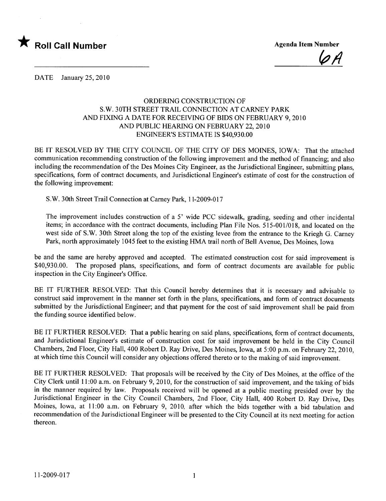

 $\overline{\varphi}$  A

DATE January 25, 2010

## ORDERING CONSTRUCTION OF S.W. 30TH STREET TRAIL CONNECTION AT CARNEY PARK AND FIXING A DATE FOR RECEIVING OF BIDS ON FEBRUARY 9, 2010 AND PUBLIC HEARING ON FEBRUARY 22, 2010 ENGINEER'S ESTIMATE IS \$40,930.00

BE IT RESOLVED BY THE CITY COUNCIL OF THE CITY OF DES MOINES, IOWA: That the attached communication recommending construction of the following improvement and the method of financing; and also including the recommendation of the Des Moines City Engineer, as the Jurisdictional Engineer, submitting plans, specifications, form of contract documents, and Jurisdictional Engineer's estimate of cost for the construction of the following improvement:

S.W. 30th Street Trail Connection at Carney Park, 11-2009-017

The improvement includes construction of a 5' wide PCC sidewalk, grading, seeding and other incidental items; in accordance with the contract documents, including Plan File Nos. 515-001/018, and located on the west side of S.W. 30th Street along the top of the existing levee from the entrance to the Kriegh G. Carney Park, north approximately 1045 feet to the existing HMA trail north of Bell Avenue, Des Moines, Iowa

be and the same are hereby approved and accepted. The estimated construction cost for said improvement is \$40,930.00. The proposed plans, specifications, and form of contract documents are available for public inspection in the City Engineer's Office.

BE IT FURTHER RESOLVED: That this Council hereby determines that it is necessary and advisable to construct said improvement in the manner set forth in the plans, specifications, and form of contract documents submitted by the Jurisdictional Engineer; and that payment for the cost of said improvement shall be paid from the funding source identified below.

BE IT FURTHER RESOLVED: That a public hearing on said plans, specifications, form of contract documents, and Jurisdictional Engineer's estimate of construction cost for said improvement be held in the City Council Chambers, 2nd Floor, City Hall, 400 Robert D. Ray Drive, Des Moines, Iowa, at 5:00 p.m. on February 22,2010, at which time this Council will consider any objections offered thereto or to the making of said improvement.

BE IT FURTHER RESOLVED: That proposals will be received by the City of Des Moines, at the office of the City Clerk until 11:00 a.m. on February 9,2010, for the construction of said improvement, and the taking of bids in the manner required by law. Proposals received will be opened at a public meeting presided over by the Jurisdictional Engineer in the City Council Chambers, 2nd Floor, City Hall, 400 Robert D. Ray Drive, Des Moines, Iowa, at 11:00 a.m. on February 9, 2010, after which the bids together with a bid tabulation and recommendation of the Jurisdictional Engineer will be presented to the City Council at its next meeting for action thereon.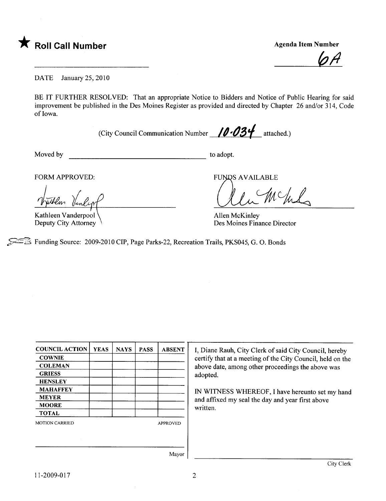

Agenda Item Number

bll

DATE January 25, 2010

BE IT FURTHER RESOLVED: That an appropriate Notice to Bidders and Notice of Public Hearing for said improvement be published in the Des Moines Register as provided and directed by Chapter 26 and/or 314, Code of Iowa.

(City Council Communication Number  $/0.034$  attached.)

Moved by to adopt.

FORM APPROVED:

Kathleen Vanderpool Deputy City Attorney

**FUNDS AVAILABLE** 

MY

Allen McKinley Des Moines Finance Director

EE Funding Source: 2009-2010 CIP, Page Parks-22, Recreation Trails, PKS045, G. O. Bonds

| <b>COUNCIL ACTION</b> | <b>YEAS</b> | <b>NAYS</b> | <b>PASS</b> | <b>ABSENT</b>   |
|-----------------------|-------------|-------------|-------------|-----------------|
| <b>COWNIE</b>         |             |             |             |                 |
| <b>COLEMAN</b>        |             |             |             |                 |
| <b>GRIESS</b>         |             |             |             |                 |
| <b>HENSLEY</b>        |             |             |             |                 |
| <b>MAHAFFEY</b>       |             |             |             |                 |
| <b>MEYER</b>          |             |             |             |                 |
| <b>MOORE</b>          |             |             |             |                 |
| <b>TOTAL</b>          |             |             |             |                 |
| <b>MOTION CARRIED</b> |             |             |             | <b>APPROVED</b> |
|                       |             |             |             |                 |
|                       |             |             |             |                 |
|                       |             |             |             |                 |

I, Diane Rauh, City Clerk of said City Council, hereby certify that at a meeting of the City Council, held on the above date, among other proceedings the above was adopted.

IN WITNESS WHEREOF, I have hereunto set my hand and affixed my seal the day and year first above written.

Mayor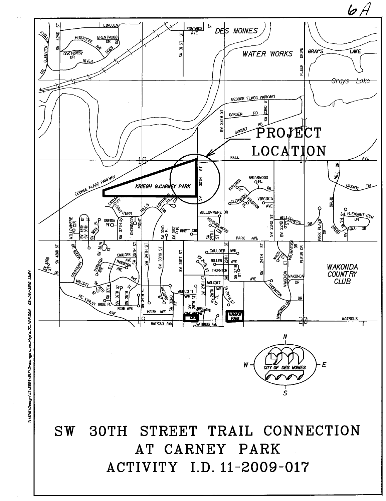

PB:E1 BIBE-WAI-90 WOO-AW-307\dew-oo-Neprise-MAT00WS000111/netse0\0W3\17